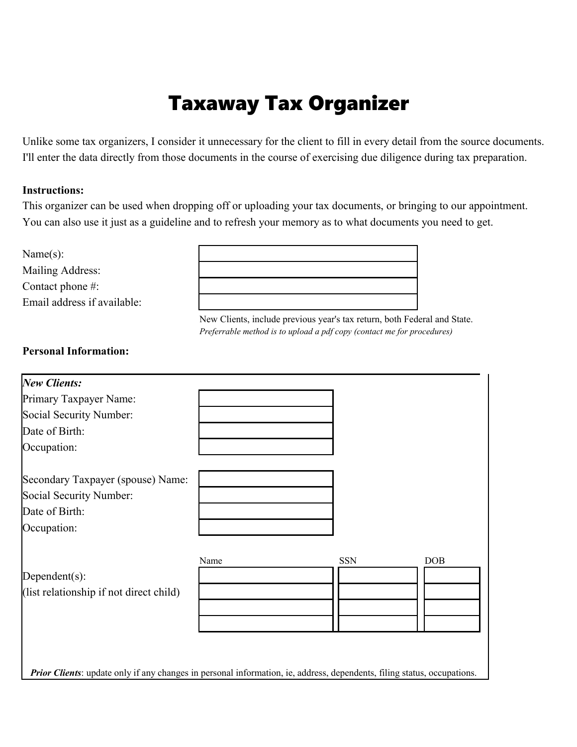# Taxaway Tax Organizer

Unlike some tax organizers, I consider it unnecessary for the client to fill in every detail from the source documents. I'll enter the data directly from those documents in the course of exercising due diligence during tax preparation.

#### **Instructions:**

This organizer can be used when dropping off or uploading your tax documents, or bringing to our appointment. You can also use it just as a guideline and to refresh your memory as to what documents you need to get.

Name(s):

Mailing Address: Contact phone #: Email address if available:



New Clients, include previous year's tax return, both Federal and State. *Preferrable method is to upload a pdf copy (contact me for procedures)*

#### **Personal Information:**

| <b>New Clients:</b>                                                                                                            |      |            |     |
|--------------------------------------------------------------------------------------------------------------------------------|------|------------|-----|
| Primary Taxpayer Name:                                                                                                         |      |            |     |
| Social Security Number:                                                                                                        |      |            |     |
| Date of Birth:                                                                                                                 |      |            |     |
| Occupation:                                                                                                                    |      |            |     |
| Secondary Taxpayer (spouse) Name:                                                                                              |      |            |     |
| Social Security Number:                                                                                                        |      |            |     |
| Date of Birth:                                                                                                                 |      |            |     |
| Occupation:                                                                                                                    |      |            |     |
|                                                                                                                                | Name | <b>SSN</b> | DOB |
| Dependent(s):                                                                                                                  |      |            |     |
| (list relationship if not direct child)                                                                                        |      |            |     |
|                                                                                                                                |      |            |     |
|                                                                                                                                |      |            |     |
|                                                                                                                                |      |            |     |
|                                                                                                                                |      |            |     |
| <b>Prior Clients:</b> update only if any changes in personal information, ie, address, dependents, filing status, occupations. |      |            |     |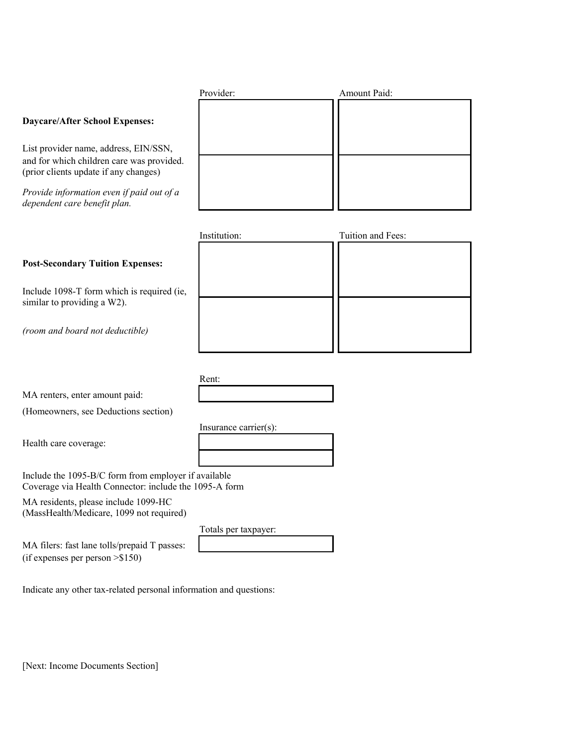| <b>Daycare/After School Expenses:</b>                                                                                       |                       |                   |
|-----------------------------------------------------------------------------------------------------------------------------|-----------------------|-------------------|
| List provider name, address, EIN/SSN,<br>and for which children care was provided.<br>(prior clients update if any changes) |                       |                   |
| Provide information even if paid out of a<br>dependent care benefit plan.                                                   |                       |                   |
|                                                                                                                             | Institution:          | Tuition and Fees: |
| <b>Post-Secondary Tuition Expenses:</b>                                                                                     |                       |                   |
| Include 1098-T form which is required (ie,<br>similar to providing a W2).                                                   |                       |                   |
| (room and board not deductible)                                                                                             |                       |                   |
|                                                                                                                             |                       |                   |
| MA renters, enter amount paid:                                                                                              | Rent:                 |                   |
| (Homeowners, see Deductions section)                                                                                        |                       |                   |
| Health care coverage:                                                                                                       | Insurance carrier(s): |                   |
| Include the 1095-B/C form from employer if available<br>Coverage via Health Connector: include the 1095-A form              |                       |                   |
| $MA$ regidents please include $1000$ $\text{H}$ <sup><math>\alpha</math></sup>                                              |                       |                   |

Provider: Amount Paid:

MA residents, please include 1099-HC (MassHealth/Medicare, 1099 not required)

Totals per taxpayer:

MA filers: fast lane tolls/prepaid T passes: (if expenses per person >\$150)

Indicate any other tax-related personal information and questions:

[Next: Income Documents Section]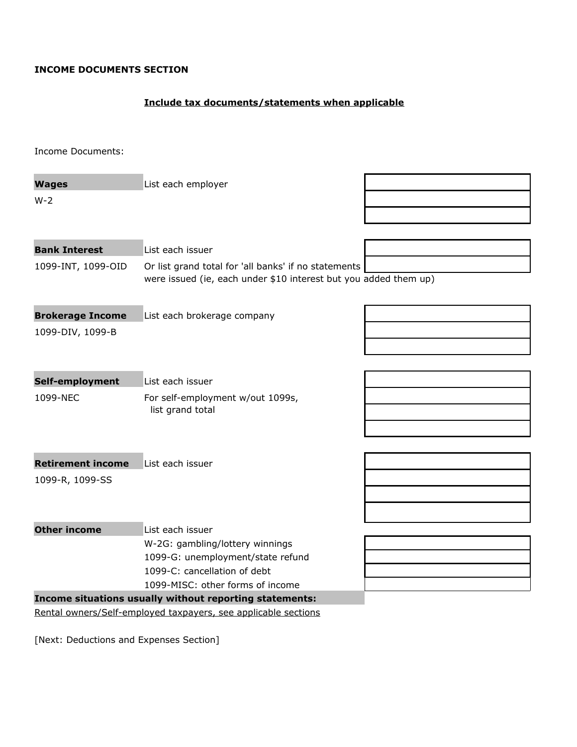#### **INCOME DOCUMENTS SECTION**

### **Include tax documents/statements when applicable**

Income Documents:

| <b>Wages</b>             | List each employer                                                                                                       |  |
|--------------------------|--------------------------------------------------------------------------------------------------------------------------|--|
| $W-2$                    |                                                                                                                          |  |
|                          |                                                                                                                          |  |
|                          |                                                                                                                          |  |
| <b>Bank Interest</b>     | List each issuer                                                                                                         |  |
| 1099-INT, 1099-OID       | Or list grand total for 'all banks' if no statements<br>were issued (ie, each under \$10 interest but you added them up) |  |
| <b>Brokerage Income</b>  | List each brokerage company                                                                                              |  |
| 1099-DIV, 1099-B         |                                                                                                                          |  |
|                          |                                                                                                                          |  |
|                          |                                                                                                                          |  |
| Self-employment          | List each issuer                                                                                                         |  |
| 1099-NEC                 | For self-employment w/out 1099s,                                                                                         |  |
|                          | list grand total                                                                                                         |  |
|                          |                                                                                                                          |  |
|                          |                                                                                                                          |  |
| <b>Retirement income</b> | List each issuer                                                                                                         |  |
| 1099-R, 1099-SS          |                                                                                                                          |  |
|                          |                                                                                                                          |  |
|                          |                                                                                                                          |  |
| <b>Other income</b>      | List each issuer                                                                                                         |  |
|                          | W-2G: gambling/lottery winnings                                                                                          |  |
|                          | 1099-G: unemployment/state refund                                                                                        |  |
|                          | 1099-C: cancellation of debt                                                                                             |  |
|                          | 1099-MISC: other forms of income<br>Income situations usually without reporting statements:                              |  |
|                          | Rental owners/Self-employed taxpayers, see applicable sections                                                           |  |
|                          |                                                                                                                          |  |

[Next: Deductions and Expenses Section]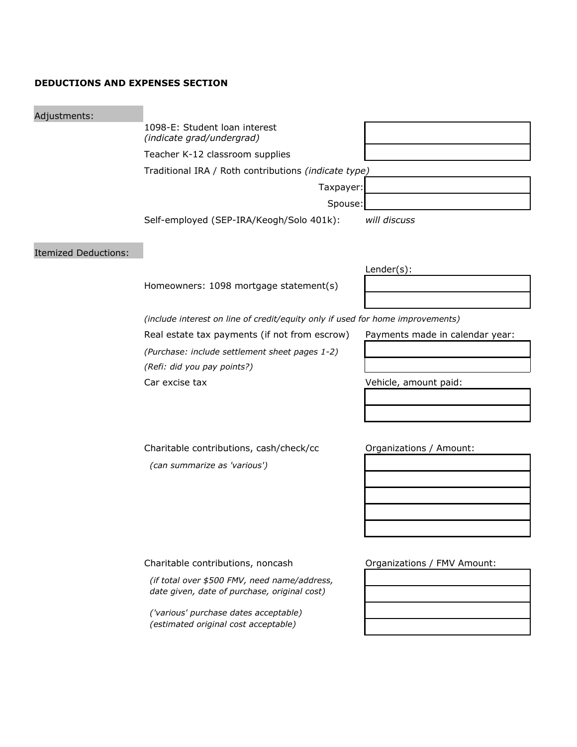#### **DEDUCTIONS AND EXPENSES SECTION**

| 1098-E: Student loan interest<br>(indicate grad/undergrad)<br>Teacher K-12 classroom supplies<br>Traditional IRA / Roth contributions (indicate type)<br>Taxpayer: |                                 |  |  |
|--------------------------------------------------------------------------------------------------------------------------------------------------------------------|---------------------------------|--|--|
|                                                                                                                                                                    |                                 |  |  |
|                                                                                                                                                                    |                                 |  |  |
|                                                                                                                                                                    |                                 |  |  |
|                                                                                                                                                                    |                                 |  |  |
| Spouse:                                                                                                                                                            |                                 |  |  |
| Self-employed (SEP-IRA/Keogh/Solo 401k):                                                                                                                           | will discuss                    |  |  |
|                                                                                                                                                                    |                                 |  |  |
|                                                                                                                                                                    | $Lender(s)$ :                   |  |  |
| Homeowners: 1098 mortgage statement(s)                                                                                                                             |                                 |  |  |
|                                                                                                                                                                    |                                 |  |  |
| (include interest on line of credit/equity only if used for home improvements)                                                                                     |                                 |  |  |
| Real estate tax payments (if not from escrow)                                                                                                                      | Payments made in calendar year: |  |  |
| (Purchase: include settlement sheet pages 1-2)                                                                                                                     |                                 |  |  |
| (Refi: did you pay points?)                                                                                                                                        |                                 |  |  |
| Car excise tax                                                                                                                                                     | Vehicle, amount paid:           |  |  |
|                                                                                                                                                                    |                                 |  |  |
|                                                                                                                                                                    |                                 |  |  |
|                                                                                                                                                                    |                                 |  |  |
| Charitable contributions, cash/check/cc                                                                                                                            | Organizations / Amount:         |  |  |
| (can summarize as 'various')                                                                                                                                       |                                 |  |  |
|                                                                                                                                                                    |                                 |  |  |
|                                                                                                                                                                    |                                 |  |  |
|                                                                                                                                                                    |                                 |  |  |
|                                                                                                                                                                    |                                 |  |  |
|                                                                                                                                                                    |                                 |  |  |
| Charitable contributions, noncash                                                                                                                                  | Organizations / FMV Amount:     |  |  |
| (if total over \$500 FMV, need name/address,<br>date given, date of purchase, original cost)                                                                       |                                 |  |  |
| ('various' purchase dates acceptable)<br>(estimated original cost acceptable)                                                                                      |                                 |  |  |
|                                                                                                                                                                    |                                 |  |  |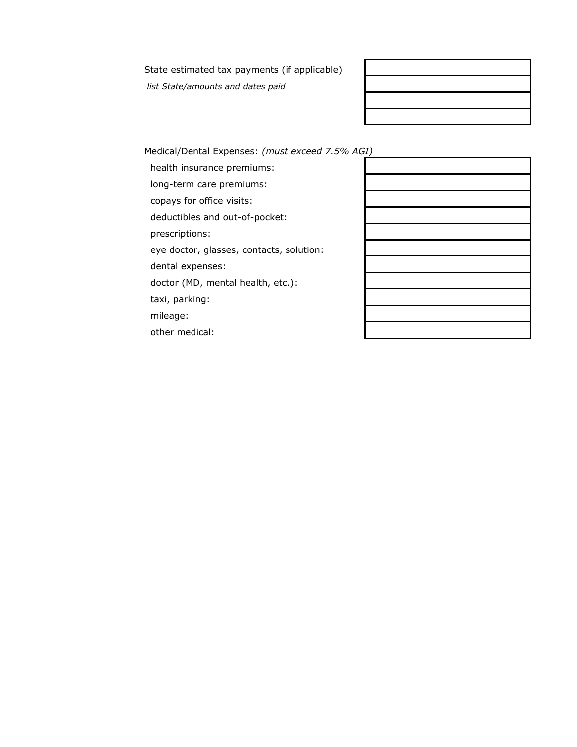State estimated tax payments (if applicable)

 *list State/amounts and dates paid*

Medical/Dental Expenses: *(must exceed 7.5% AGI)*

health insurance premiums:

long-term care premiums:

copays for office visits:

deductibles and out-of-pocket:

prescriptions:

eye doctor, glasses, contacts, solution:

dental expenses:

doctor (MD, mental health, etc.):

taxi, parking:

mileage:

other medical:

|   | $\mathcal{L}^{\text{max}}_{\text{max}}$ , where $\mathcal{L}^{\text{max}}_{\text{max}}$ |  |  |
|---|-----------------------------------------------------------------------------------------|--|--|
| " |                                                                                         |  |  |
|   |                                                                                         |  |  |
|   |                                                                                         |  |  |
|   |                                                                                         |  |  |
|   |                                                                                         |  |  |
|   |                                                                                         |  |  |
|   |                                                                                         |  |  |
|   |                                                                                         |  |  |
|   |                                                                                         |  |  |
|   |                                                                                         |  |  |
|   |                                                                                         |  |  |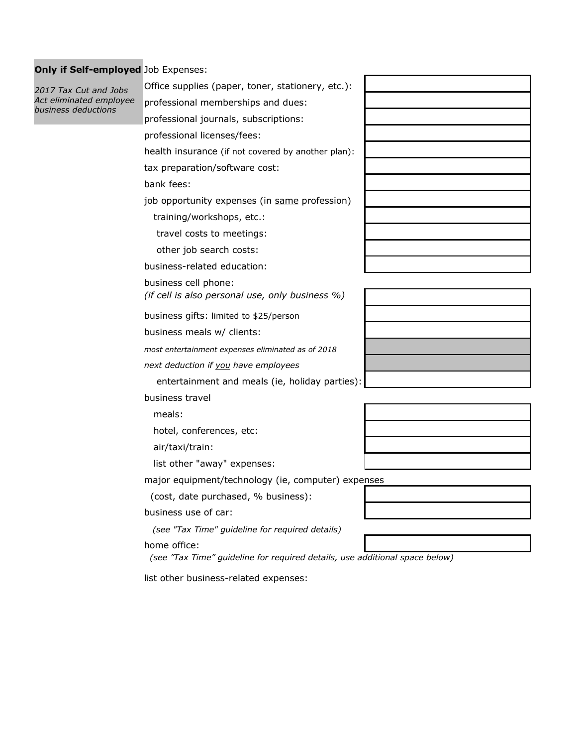## **Only if Self-employed** Job Expenses:

| 2017 Tax Cut and Jobs                          | Office supplies (paper, toner, stationery, etc.):                           |  |
|------------------------------------------------|-----------------------------------------------------------------------------|--|
| Act eliminated employee<br>business deductions | professional memberships and dues:                                          |  |
|                                                | professional journals, subscriptions:                                       |  |
|                                                | professional licenses/fees:                                                 |  |
|                                                | health insurance (if not covered by another plan):                          |  |
|                                                | tax preparation/software cost:                                              |  |
|                                                | bank fees:                                                                  |  |
|                                                | job opportunity expenses (in same profession)                               |  |
|                                                | training/workshops, etc.:                                                   |  |
|                                                | travel costs to meetings:                                                   |  |
|                                                | other job search costs:                                                     |  |
|                                                | business-related education:                                                 |  |
|                                                | business cell phone:                                                        |  |
|                                                | (if cell is also personal use, only business %)                             |  |
|                                                | business gifts: limited to \$25/person                                      |  |
|                                                | business meals w/ clients:                                                  |  |
|                                                | most entertainment expenses eliminated as of 2018                           |  |
|                                                | next deduction if you have employees                                        |  |
|                                                | entertainment and meals (ie, holiday parties):                              |  |
|                                                | business travel                                                             |  |
|                                                | meals:                                                                      |  |
|                                                | hotel, conferences, etc:                                                    |  |
|                                                | air/taxi/train:                                                             |  |
|                                                | list other "away" expenses:                                                 |  |
|                                                | major equipment/technology (ie, computer) expenses                          |  |
|                                                | (cost, date purchased, % business):                                         |  |
|                                                | business use of car:                                                        |  |
|                                                | (see "Tax Time" guideline for required details)                             |  |
|                                                | home office:                                                                |  |
|                                                | (see "Tax Time" guideline for required details, use additional space below) |  |
|                                                | list other business-related expenses:                                       |  |